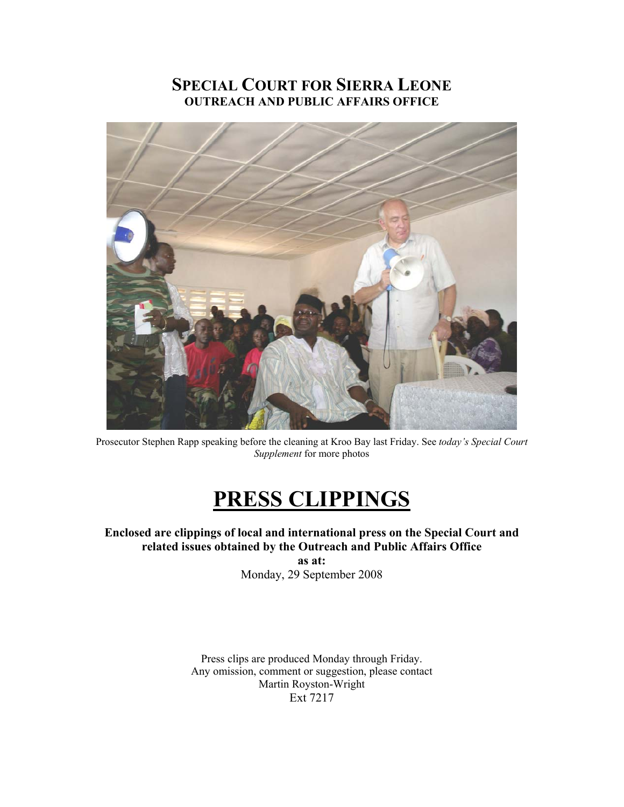### **SPECIAL COURT FOR SIERRA LEONE OUTREACH AND PUBLIC AFFAIRS OFFICE**



Prosecutor Stephen Rapp speaking before the cleaning at Kroo Bay last Friday. See *today's Special Court Supplement* for more photos

# **PRESS CLIPPINGS**

**Enclosed are clippings of local and international press on the Special Court and related issues obtained by the Outreach and Public Affairs Office** 

**as at:**  Monday, 29 September 2008

Press clips are produced Monday through Friday. Any omission, comment or suggestion, please contact Martin Royston-Wright Ext 7217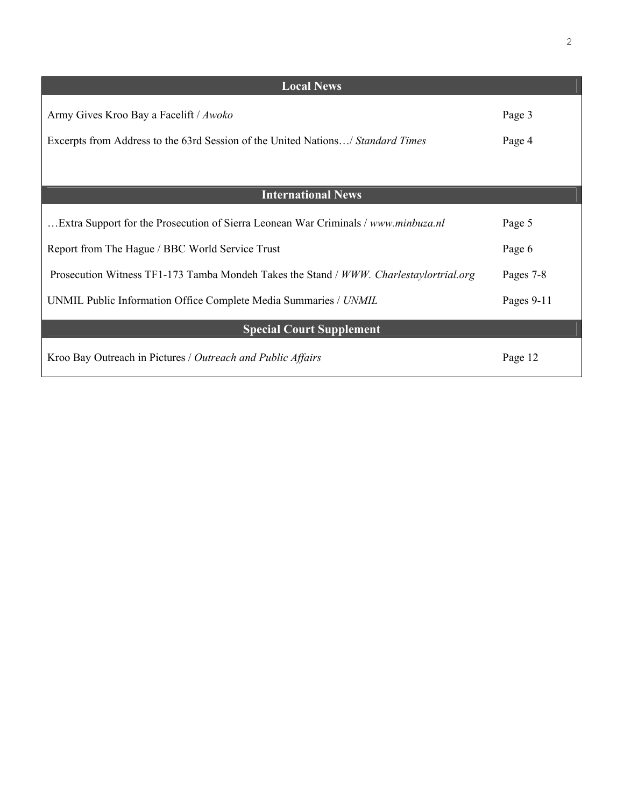| <b>Local News</b>                                                                      |            |
|----------------------------------------------------------------------------------------|------------|
| Army Gives Kroo Bay a Facelift / Awoko                                                 | Page 3     |
| Excerpts from Address to the 63rd Session of the United Nations/ Standard Times        | Page 4     |
|                                                                                        |            |
| <b>International News</b>                                                              |            |
| Extra Support for the Prosecution of Sierra Leonean War Criminals / www.minbuza.nl     | Page 5     |
| Report from The Hague / BBC World Service Trust                                        | Page 6     |
| Prosecution Witness TF1-173 Tamba Mondeh Takes the Stand / WWW. Charlestaylortrial.org | Pages 7-8  |
| UNMIL Public Information Office Complete Media Summaries / UNMIL                       | Pages 9-11 |
| <b>Special Court Supplement</b>                                                        |            |
| Kroo Bay Outreach in Pictures / Outreach and Public Affairs                            | Page 12    |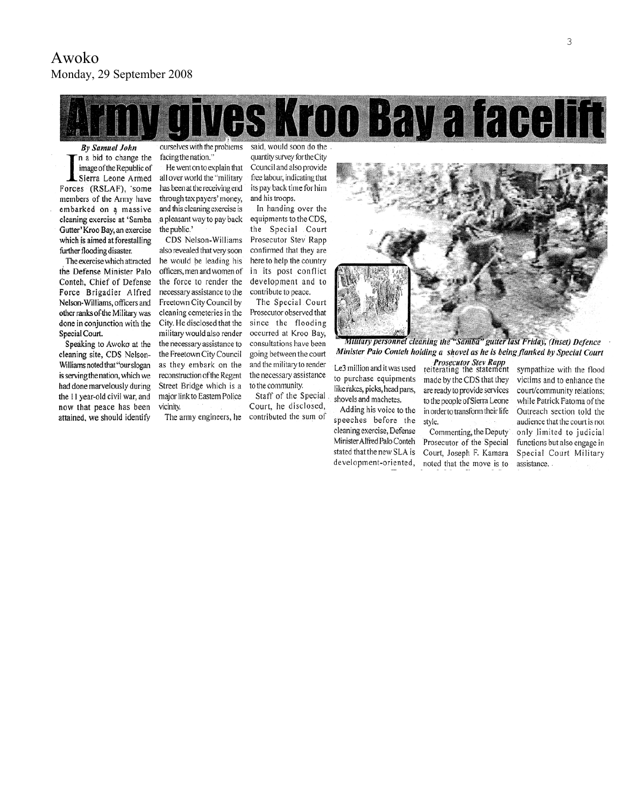

**By Samuel John** n a bid to change the image of the Republic of Sierra Leone Armed Forces (RSLAF), 'some members of the Army have embarked on a massive cleaning exercise at 'Samba Gutter' Kroo Bay, an exercise which is aimed at forestalling

further flooding disaster. The exercise which attracted the Defense Minister Palo Conteh, Chief of Defense Force Brigadier Alfred Nelson-Williams, officers and other ranks of the Military was done in conjunction with the Special Court.

Speaking to Awoko at the cleaning site, CDS Nelson-Williams noted that "our slogan is serving the nation, which we had done marvelously during the 11 year-old civil war, and now that peace has been attained, we should identify

ourselves with the problems facing the nation.'

He went on to explain that all over world the "military has been at the receiving end through tax payers' money, and this cleaning exercise is a pleasant way to pay back the public.'

CDS Nelson-Williams also revealed that very soon he would be leading his officers, men and women of the force to render the necessary assistance to the Freetown City Council by cleaning cemeteries in the City. He disclosed that the military would also render the necessary assistance to the Freetown City Council as they embark on the reconstruction of the Regent Street Bridge which is a major link to Eastern Police vicinity.

The army engineers, he

said, would soon do the quantity survey for the City Council and also provide free labour, indicating that its pay back time for him and his troops.

In handing over the equipments to the CDS, the Special Court Prosecutor Stev Rapp confirmed that they are here to help the country in its post conflict development and to contribute to peace.

The Special Court Prosecutor observed that since the flooding occurred at Kroo Bay, consultations have been going between the court and the military to render the necessary assistance to the community.

Staff of the Special Court, he disclosed, contributed the sum of



Military personnel cleaning the "Samba" gutter last Friday, (Inset) Defence Minister Palo Conteh holding a shovel as he is being flanked by Special Court

Le3 million and it was used to purchase equipments like rakes, picks, head pans, shovels and machetes.

Adding his voice to the speeches before the cleaning exercise, Defense Minister Alfred Palo Conteh stated that the new SLA is development-oriented,

Prosecutor Stev Rapp<br>reiterating the statement made by the CDS that they are ready to provide services to the people of Sierra Leone in order to transform their life style.

Commenting, the Deputy Prosecutor of the Special Court, Joseph F. Kamara noted that the move is to

sympathize with the flood victims and to enhance the court/community relations; while Patrick Fatoma of the Outreach section told the audience that the court is not only limited to judicial functions but also engage in Special Court Military assistance.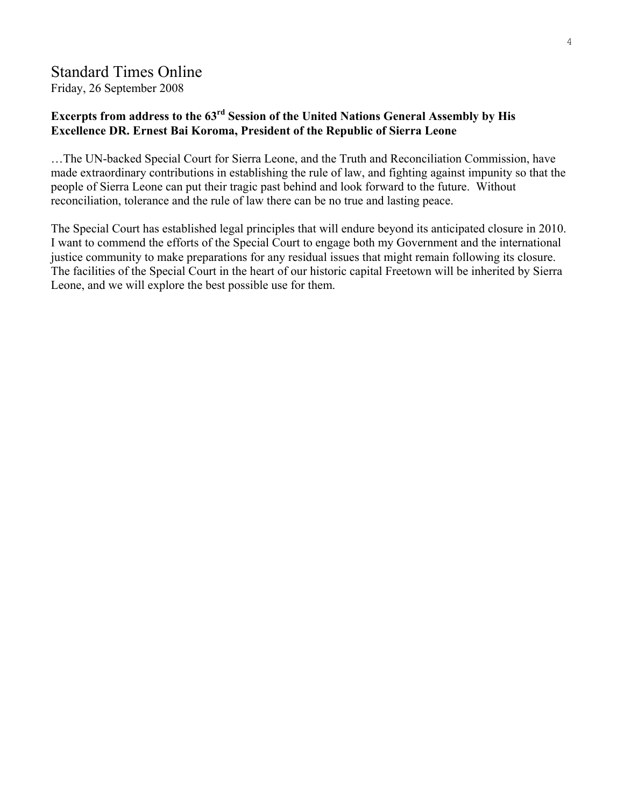# Standard Times Online

Friday, 26 September 2008

### **Excerpts from address to the 63rd Session of the United Nations General Assembly by His Excellence DR. Ernest Bai Koroma, President of the Republic of Sierra Leone**

…The UN-backed Special Court for Sierra Leone, and the Truth and Reconciliation Commission, have made extraordinary contributions in establishing the rule of law, and fighting against impunity so that the people of Sierra Leone can put their tragic past behind and look forward to the future. Without reconciliation, tolerance and the rule of law there can be no true and lasting peace.

The Special Court has established legal principles that will endure beyond its anticipated closure in 2010. I want to commend the efforts of the Special Court to engage both my Government and the international justice community to make preparations for any residual issues that might remain following its closure. The facilities of the Special Court in the heart of our historic capital Freetown will be inherited by Sierra Leone, and we will explore the best possible use for them.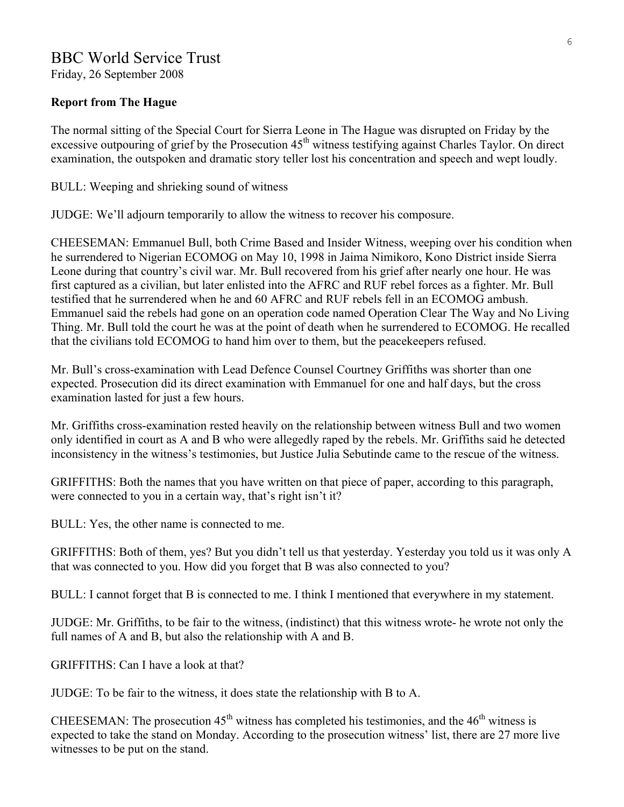# BBC World Service Trust

Friday, 26 September 2008

### **Report from The Hague**

The normal sitting of the Special Court for Sierra Leone in The Hague was disrupted on Friday by the excessive outpouring of grief by the Prosecution 45<sup>th</sup> witness testifying against Charles Taylor. On direct examination, the outspoken and dramatic story teller lost his concentration and speech and wept loudly.

BULL: Weeping and shrieking sound of witness

JUDGE: We'll adjourn temporarily to allow the witness to recover his composure.

CHEESEMAN: Emmanuel Bull, both Crime Based and Insider Witness, weeping over his condition when he surrendered to Nigerian ECOMOG on May 10, 1998 in Jaima Nimikoro, Kono District inside Sierra Leone during that country's civil war. Mr. Bull recovered from his grief after nearly one hour. He was first captured as a civilian, but later enlisted into the AFRC and RUF rebel forces as a fighter. Mr. Bull testified that he surrendered when he and 60 AFRC and RUF rebels fell in an ECOMOG ambush. Emmanuel said the rebels had gone on an operation code named Operation Clear The Way and No Living Thing. Mr. Bull told the court he was at the point of death when he surrendered to ECOMOG. He recalled that the civilians told ECOMOG to hand him over to them, but the peacekeepers refused.

Mr. Bull's cross-examination with Lead Defence Counsel Courtney Griffiths was shorter than one expected. Prosecution did its direct examination with Emmanuel for one and half days, but the cross examination lasted for just a few hours.

Mr. Griffiths cross-examination rested heavily on the relationship between witness Bull and two women only identified in court as A and B who were allegedly raped by the rebels. Mr. Griffiths said he detected inconsistency in the witness's testimonies, but Justice Julia Sebutinde came to the rescue of the witness.

GRIFFITHS: Both the names that you have written on that piece of paper, according to this paragraph, were connected to you in a certain way, that's right isn't it?

BULL: Yes, the other name is connected to me.

GRIFFITHS: Both of them, yes? But you didn't tell us that yesterday. Yesterday you told us it was only A that was connected to you. How did you forget that B was also connected to you?

BULL: I cannot forget that B is connected to me. I think I mentioned that everywhere in my statement.

JUDGE: Mr. Griffiths, to be fair to the witness, (indistinct) that this witness wrote- he wrote not only the full names of A and B, but also the relationship with A and B.

GRIFFITHS: Can I have a look at that?

JUDGE: To be fair to the witness, it does state the relationship with B to A.

CHEESEMAN: The prosecution  $45<sup>th</sup>$  witness has completed his testimonies, and the  $46<sup>th</sup>$  witness is expected to take the stand on Monday. According to the prosecution witness' list, there are 27 more live witnesses to be put on the stand.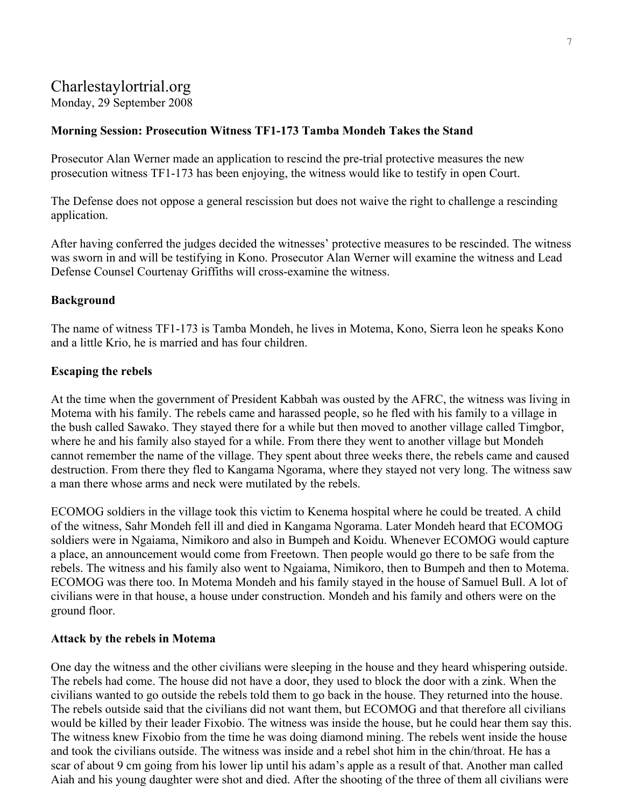# Charlestaylortrial.org

## Monday, 29 September 2008

### **Morning Session: Prosecution Witness TF1-173 Tamba Mondeh Takes the Stand**

Prosecutor Alan Werner made an application to rescind the pre-trial protective measures the new prosecution witness TF1-173 has been enjoying, the witness would like to testify in open Court.

The Defense does not oppose a general rescission but does not waive the right to challenge a rescinding application.

After having conferred the judges decided the witnesses' protective measures to be rescinded. The witness was sworn in and will be testifying in Kono. Prosecutor Alan Werner will examine the witness and Lead Defense Counsel Courtenay Griffiths will cross-examine the witness.

### **Background**

The name of witness TF1-173 is Tamba Mondeh, he lives in Motema, Kono, Sierra leon he speaks Kono and a little Krio, he is married and has four children.

#### **Escaping the rebels**

At the time when the government of President Kabbah was ousted by the AFRC, the witness was living in Motema with his family. The rebels came and harassed people, so he fled with his family to a village in the bush called Sawako. They stayed there for a while but then moved to another village called Timgbor, where he and his family also stayed for a while. From there they went to another village but Mondeh cannot remember the name of the village. They spent about three weeks there, the rebels came and caused destruction. From there they fled to Kangama Ngorama, where they stayed not very long. The witness saw a man there whose arms and neck were mutilated by the rebels.

ECOMOG soldiers in the village took this victim to Kenema hospital where he could be treated. A child of the witness, Sahr Mondeh fell ill and died in Kangama Ngorama. Later Mondeh heard that ECOMOG soldiers were in Ngaiama, Nimikoro and also in Bumpeh and Koidu. Whenever ECOMOG would capture a place, an announcement would come from Freetown. Then people would go there to be safe from the rebels. The witness and his family also went to Ngaiama, Nimikoro, then to Bumpeh and then to Motema. ECOMOG was there too. In Motema Mondeh and his family stayed in the house of Samuel Bull. A lot of civilians were in that house, a house under construction. Mondeh and his family and others were on the ground floor.

#### **Attack by the rebels in Motema**

One day the witness and the other civilians were sleeping in the house and they heard whispering outside. The rebels had come. The house did not have a door, they used to block the door with a zink. When the civilians wanted to go outside the rebels told them to go back in the house. They returned into the house. The rebels outside said that the civilians did not want them, but ECOMOG and that therefore all civilians would be killed by their leader Fixobio. The witness was inside the house, but he could hear them say this. The witness knew Fixobio from the time he was doing diamond mining. The rebels went inside the house and took the civilians outside. The witness was inside and a rebel shot him in the chin/throat. He has a scar of about 9 cm going from his lower lip until his adam's apple as a result of that. Another man called Aiah and his young daughter were shot and died. After the shooting of the three of them all civilians were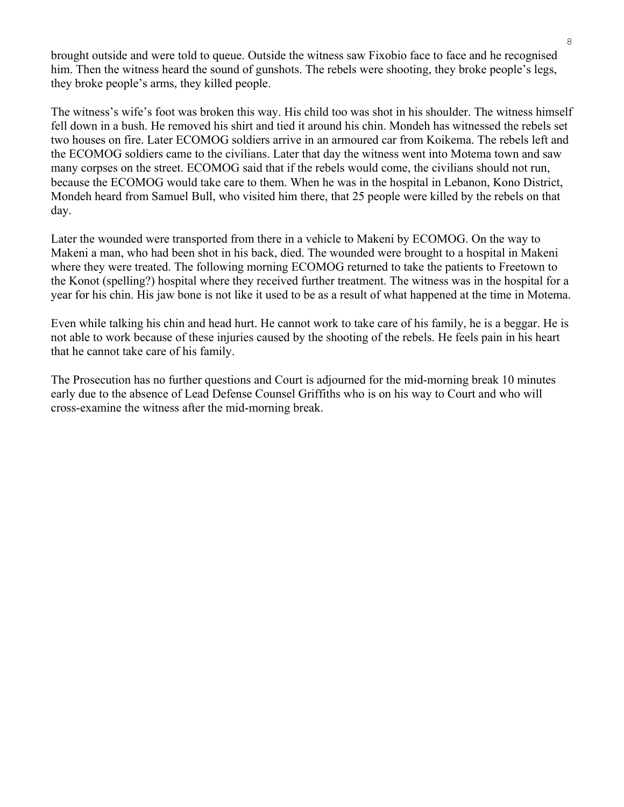brought outside and were told to queue. Outside the witness saw Fixobio face to face and he recognised him. Then the witness heard the sound of gunshots. The rebels were shooting, they broke people's legs, they broke people's arms, they killed people.

The witness's wife's foot was broken this way. His child too was shot in his shoulder. The witness himself fell down in a bush. He removed his shirt and tied it around his chin. Mondeh has witnessed the rebels set two houses on fire. Later ECOMOG soldiers arrive in an armoured car from Koikema. The rebels left and the ECOMOG soldiers came to the civilians. Later that day the witness went into Motema town and saw many corpses on the street. ECOMOG said that if the rebels would come, the civilians should not run, because the ECOMOG would take care to them. When he was in the hospital in Lebanon, Kono District, Mondeh heard from Samuel Bull, who visited him there, that 25 people were killed by the rebels on that day.

Later the wounded were transported from there in a vehicle to Makeni by ECOMOG. On the way to Makeni a man, who had been shot in his back, died. The wounded were brought to a hospital in Makeni where they were treated. The following morning ECOMOG returned to take the patients to Freetown to the Konot (spelling?) hospital where they received further treatment. The witness was in the hospital for a year for his chin. His jaw bone is not like it used to be as a result of what happened at the time in Motema.

Even while talking his chin and head hurt. He cannot work to take care of his family, he is a beggar. He is not able to work because of these injuries caused by the shooting of the rebels. He feels pain in his heart that he cannot take care of his family.

The Prosecution has no further questions and Court is adjourned for the mid-morning break 10 minutes early due to the absence of Lead Defense Counsel Griffiths who is on his way to Court and who will cross-examine the witness after the mid-morning break.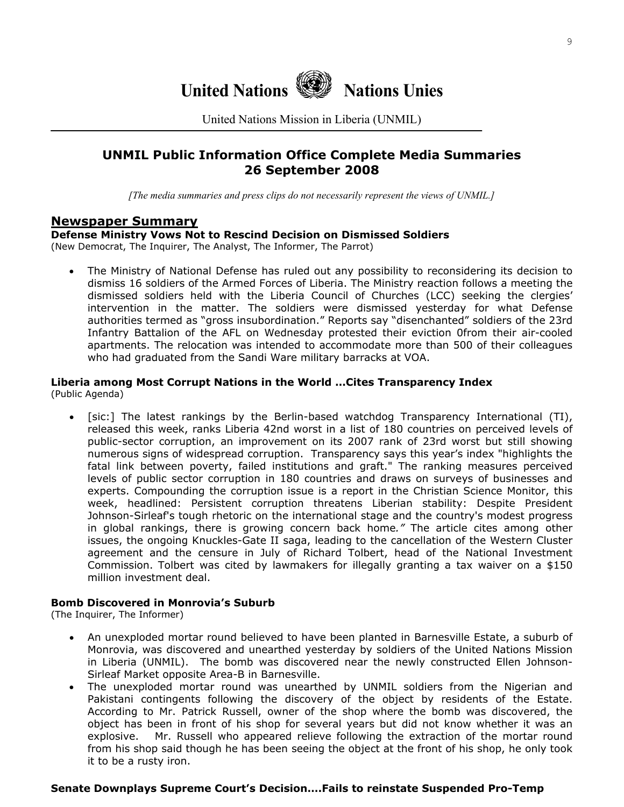

United Nations Mission in Liberia (UNMIL)

### **UNMIL Public Information Office Complete Media Summaries 26 September 2008**

*[The media summaries and press clips do not necessarily represent the views of UNMIL.]*

### **Newspaper Summary**

**Defense Ministry Vows Not to Rescind Decision on Dismissed Soldiers** 

(New Democrat, The Inquirer, The Analyst, The Informer, The Parrot)

• The Ministry of National Defense has ruled out any possibility to reconsidering its decision to dismiss 16 soldiers of the Armed Forces of Liberia. The Ministry reaction follows a meeting the dismissed soldiers held with the Liberia Council of Churches (LCC) seeking the clergies' intervention in the matter. The soldiers were dismissed yesterday for what Defense authorities termed as "gross insubordination." Reports say "disenchanted" soldiers of the 23rd Infantry Battalion of the AFL on Wednesday protested their eviction 0from their air-cooled apartments. The relocation was intended to accommodate more than 500 of their colleagues who had graduated from the Sandi Ware military barracks at VOA.

# **Liberia among Most Corrupt Nations in the World …Cites Transparency Index**

(Public Agenda)

• [sic:] The latest rankings by the Berlin-based watchdog Transparency International (TI), released this week, ranks Liberia 42nd worst in a list of 180 countries on perceived levels of public-sector corruption, an improvement on its 2007 rank of 23rd worst but still showing numerous signs of widespread corruption. Transparency says this year's index "highlights the fatal link between poverty, failed institutions and graft." The ranking measures perceived levels of public sector corruption in 180 countries and draws on surveys of businesses and experts. Compounding the corruption issue is a report in the Christian Science Monitor, this week, headlined: Persistent corruption threatens Liberian stability: Despite President Johnson-Sirleaf's tough rhetoric on the international stage and the country's modest progress in global rankings, there is growing concern back home*."* The article cites among other issues, the ongoing Knuckles-Gate II saga, leading to the cancellation of the Western Cluster agreement and the censure in July of Richard Tolbert, head of the National Investment Commission. Tolbert was cited by lawmakers for illegally granting a tax waiver on a \$150 million investment deal.

#### **Bomb Discovered in Monrovia's Suburb**

(The Inquirer, The Informer)

- An unexploded mortar round believed to have been planted in Barnesville Estate, a suburb of Monrovia, was discovered and unearthed yesterday by soldiers of the United Nations Mission in Liberia (UNMIL). The bomb was discovered near the newly constructed Ellen Johnson-Sirleaf Market opposite Area-B in Barnesville.
- The unexploded mortar round was unearthed by UNMIL soldiers from the Nigerian and Pakistani contingents following the discovery of the object by residents of the Estate. According to Mr. Patrick Russell, owner of the shop where the bomb was discovered, the object has been in front of his shop for several years but did not know whether it was an explosive. Mr. Russell who appeared relieve following the extraction of the mortar round from his shop said though he has been seeing the object at the front of his shop, he only took it to be a rusty iron.

#### **Senate Downplays Supreme Court's Decision….Fails to reinstate Suspended Pro-Temp**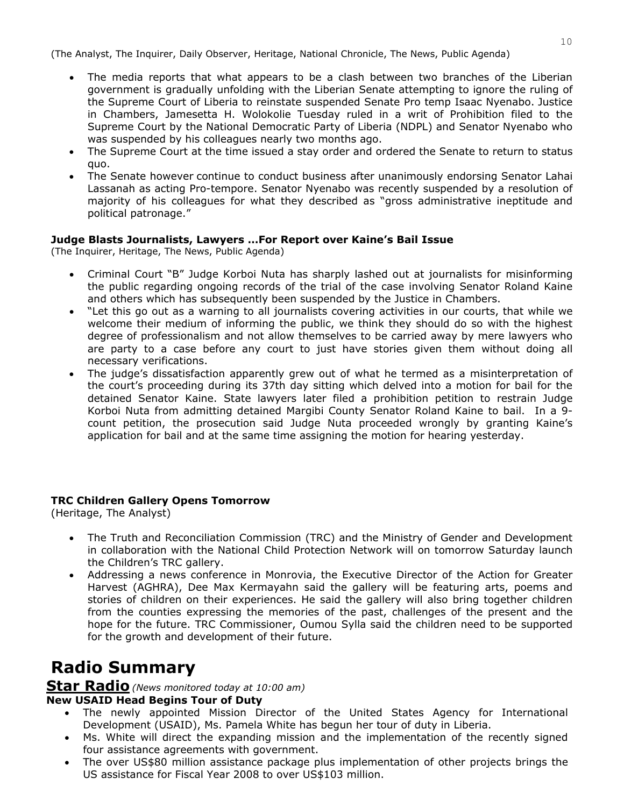(The Analyst, The Inquirer, Daily Observer, Heritage, National Chronicle, The News, Public Agenda)

- The media reports that what appears to be a clash between two branches of the Liberian government is gradually unfolding with the Liberian Senate attempting to ignore the ruling of the Supreme Court of Liberia to reinstate suspended Senate Pro temp Isaac Nyenabo. Justice in Chambers, Jamesetta H. Wolokolie Tuesday ruled in a writ of Prohibition filed to the Supreme Court by the National Democratic Party of Liberia (NDPL) and Senator Nyenabo who was suspended by his colleagues nearly two months ago.
- The Supreme Court at the time issued a stay order and ordered the Senate to return to status quo.
- The Senate however continue to conduct business after unanimously endorsing Senator Lahai Lassanah as acting Pro-tempore. Senator Nyenabo was recently suspended by a resolution of majority of his colleagues for what they described as "gross administrative ineptitude and political patronage."

### **Judge Blasts Journalists, Lawyers …For Report over Kaine's Bail Issue**

(The Inquirer, Heritage, The News, Public Agenda)

- Criminal Court "B" Judge Korboi Nuta has sharply lashed out at journalists for misinforming the public regarding ongoing records of the trial of the case involving Senator Roland Kaine and others which has subsequently been suspended by the Justice in Chambers.
- "Let this go out as a warning to all journalists covering activities in our courts, that while we welcome their medium of informing the public, we think they should do so with the highest degree of professionalism and not allow themselves to be carried away by mere lawyers who are party to a case before any court to just have stories given them without doing all necessary verifications.
- The judge's dissatisfaction apparently grew out of what he termed as a misinterpretation of the court's proceeding during its 37th day sitting which delved into a motion for bail for the detained Senator Kaine. State lawyers later filed a prohibition petition to restrain Judge Korboi Nuta from admitting detained Margibi County Senator Roland Kaine to bail. In a 9 count petition, the prosecution said Judge Nuta proceeded wrongly by granting Kaine's application for bail and at the same time assigning the motion for hearing yesterday.

### **TRC Children Gallery Opens Tomorrow**

(Heritage, The Analyst)

- The Truth and Reconciliation Commission (TRC) and the Ministry of Gender and Development in collaboration with the National Child Protection Network will on tomorrow Saturday launch the Children's TRC gallery.
- Addressing a news conference in Monrovia, the Executive Director of the Action for Greater Harvest (AGHRA), Dee Max Kermayahn said the gallery will be featuring arts, poems and stories of children on their experiences. He said the gallery will also bring together children from the counties expressing the memories of the past, challenges of the present and the hope for the future. TRC Commissioner, Oumou Sylla said the children need to be supported for the growth and development of their future.

# **Radio Summary**

### **Star Radio***(News monitored today at 10:00 am)*

### **New USAID Head Begins Tour of Duty**

- The newly appointed Mission Director of the United States Agency for International Development (USAID), Ms. Pamela White has begun her tour of duty in Liberia.
- Ms. White will direct the expanding mission and the implementation of the recently signed four assistance agreements with government.
- The over US\$80 million assistance package plus implementation of other projects brings the US assistance for Fiscal Year 2008 to over US\$103 million.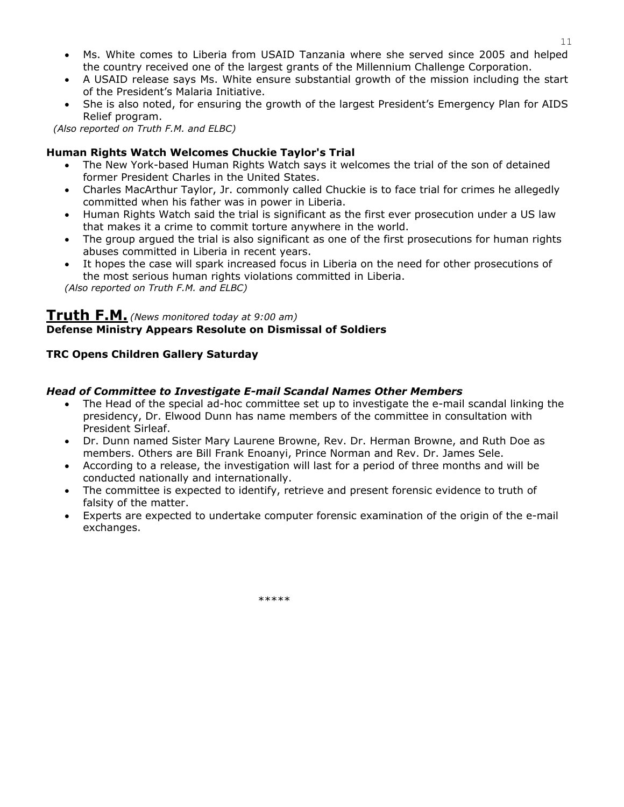• Ms. White comes to Liberia from USAID Tanzania where she served since 2005 and helped the country received one of the largest grants of the Millennium Challenge Corporation.

11

- A USAID release says Ms. White ensure substantial growth of the mission including the start of the President's Malaria Initiative.
- She is also noted, for ensuring the growth of the largest President's Emergency Plan for AIDS Relief program.

*(Also reported on Truth F.M. and ELBC)*

### **Human Rights Watch Welcomes Chuckie Taylor's Trial**

- The New York-based Human Rights Watch says it welcomes the trial of the son of detained former President Charles in the United States.
- Charles MacArthur Taylor, Jr. commonly called Chuckie is to face trial for crimes he allegedly committed when his father was in power in Liberia.
- Human Rights Watch said the trial is significant as the first ever prosecution under a US law that makes it a crime to commit torture anywhere in the world.
- The group argued the trial is also significant as one of the first prosecutions for human rights abuses committed in Liberia in recent years.
- It hopes the case will spark increased focus in Liberia on the need for other prosecutions of the most serious human rights violations committed in Liberia.

*(Also reported on Truth F.M. and ELBC)*

### **Truth F.M.** *(News monitored today at 9:00 am)* **Defense Ministry Appears Resolute on Dismissal of Soldiers**

### **TRC Opens Children Gallery Saturday**

### *Head of Committee to Investigate E-mail Scandal Names Other Members*

- The Head of the special ad-hoc committee set up to investigate the e-mail scandal linking the presidency, Dr. Elwood Dunn has name members of the committee in consultation with President Sirleaf.
- Dr. Dunn named Sister Mary Laurene Browne, Rev. Dr. Herman Browne, and Ruth Doe as members. Others are Bill Frank Enoanyi, Prince Norman and Rev. Dr. James Sele.
- According to a release, the investigation will last for a period of three months and will be conducted nationally and internationally.
- The committee is expected to identify, retrieve and present forensic evidence to truth of falsity of the matter.
- Experts are expected to undertake computer forensic examination of the origin of the e-mail exchanges.

\*\*\*\*\*\*